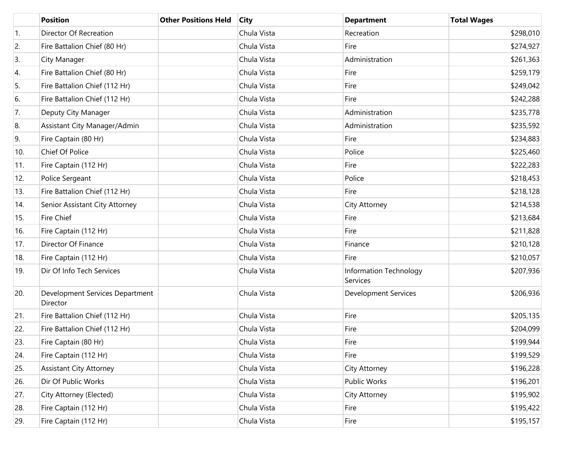|     | <b>Position</b>                             | <b>Other Positions Held</b> | <b>City</b> | <b>Department</b>                  | <b>Total Wages</b> |
|-----|---------------------------------------------|-----------------------------|-------------|------------------------------------|--------------------|
| 1.  | Director Of Recreation                      |                             | Chula Vista | Recreation                         | \$298,010          |
| 2.  | Fire Battalion Chief (80 Hr)                |                             | Chula Vista | Fire                               | \$274,927          |
| 3.  | City Manager                                |                             | Chula Vista | Administration                     | \$261,363          |
| 4.  | Fire Battalion Chief (80 Hr)                |                             | Chula Vista | Fire                               | \$259,179          |
| 5.  | Fire Battalion Chief (112 Hr)               |                             | Chula Vista | Fire                               | \$249,042          |
| 6.  | Fire Battalion Chief (112 Hr)               |                             | Chula Vista | Fire                               | \$242,288          |
| 7.  | Deputy City Manager                         |                             | Chula Vista | Administration                     | \$235,778          |
| 8.  | Assistant City Manager/Admin                |                             | Chula Vista | Administration                     | \$235,592          |
| 9.  | Fire Captain (80 Hr)                        |                             | Chula Vista | Fire                               | \$234,883          |
| 10. | Chief Of Police                             |                             | Chula Vista | Police                             | \$225,460          |
| 11. | Fire Captain (112 Hr)                       |                             | Chula Vista | Fire                               | \$222,283          |
| 12. | Police Sergeant                             |                             | Chula Vista | Police                             | \$218,453          |
| 13. | Fire Battalion Chief (112 Hr)               |                             | Chula Vista | Fire                               | \$218,128          |
| 14. | Senior Assistant City Attorney              |                             | Chula Vista | City Attorney                      | \$214,538          |
| 15. | <b>Fire Chief</b>                           |                             | Chula Vista | Fire                               | \$213,684          |
| 16. | Fire Captain (112 Hr)                       |                             | Chula Vista | Fire                               | \$211,828          |
| 17. | Director Of Finance                         |                             | Chula Vista | Finance                            | \$210,128          |
| 18. | Fire Captain (112 Hr)                       |                             | Chula Vista | Fire                               | \$210,057          |
| 19. | Dir Of Info Tech Services                   |                             | Chula Vista | Information Technology<br>Services | \$207,936          |
| 20. | Development Services Department<br>Director |                             | Chula Vista | <b>Development Services</b>        | \$206,936          |
| 21. | Fire Battalion Chief (112 Hr)               |                             | Chula Vista | Fire                               | \$205,135          |
| 22. | Fire Battalion Chief (112 Hr)               |                             | Chula Vista | Fire                               | \$204,099          |
| 23. | Fire Captain (80 Hr)                        |                             | Chula Vista | Fire                               | \$199,944          |
| 24. | Fire Captain (112 Hr)                       |                             | Chula Vista | Fire                               | \$199,529          |
| 25. | <b>Assistant City Attorney</b>              |                             | Chula Vista | City Attorney                      | \$196,228          |
| 26. | Dir Of Public Works                         |                             | Chula Vista | Public Works                       | \$196,201          |
| 27. | City Attorney (Elected)                     |                             | Chula Vista | City Attorney                      | \$195,902          |
| 28. | Fire Captain (112 Hr)                       |                             | Chula Vista | Fire                               | \$195,422          |
| 29. | Fire Captain (112 Hr)                       |                             | Chula Vista | Fire                               | \$195,157          |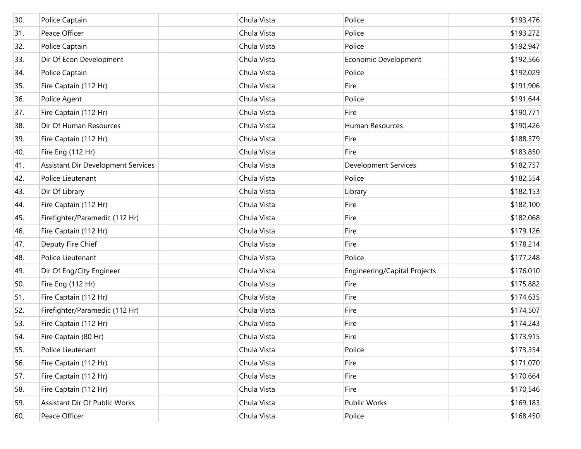| 30. | Police Captain                     | Chula Vista | Police                       | \$193,476 |
|-----|------------------------------------|-------------|------------------------------|-----------|
| 31. | Peace Officer                      | Chula Vista | Police                       | \$193,272 |
| 32. | Police Captain                     | Chula Vista | Police                       | \$192,947 |
| 33. | Dir Of Econ Development            | Chula Vista | Economic Development         | \$192,566 |
| 34. | Police Captain                     | Chula Vista | Police                       | \$192,029 |
| 35. | Fire Captain (112 Hr)              | Chula Vista | Fire                         | \$191,906 |
| 36. | Police Agent                       | Chula Vista | Police                       | \$191,644 |
| 37. | Fire Captain (112 Hr)              | Chula Vista | Fire                         | \$190,771 |
| 38. | Dir Of Human Resources             | Chula Vista | Human Resources              | \$190,426 |
| 39. | Fire Captain (112 Hr)              | Chula Vista | Fire                         | \$188,379 |
| 40. | Fire Eng (112 Hr)                  | Chula Vista | Fire                         | \$183,850 |
| 41. | Assistant Dir Development Services | Chula Vista | <b>Development Services</b>  | \$182,757 |
| 42. | Police Lieutenant                  | Chula Vista | Police                       | \$182,554 |
| 43. | Dir Of Library                     | Chula Vista | Library                      | \$182,153 |
| 44. | Fire Captain (112 Hr)              | Chula Vista | Fire                         | \$182,100 |
| 45. | Firefighter/Paramedic (112 Hr)     | Chula Vista | Fire                         | \$182,068 |
| 46. | Fire Captain (112 Hr)              | Chula Vista | Fire                         | \$179,126 |
| 47. | Deputy Fire Chief                  | Chula Vista | Fire                         | \$178,214 |
| 48. | Police Lieutenant                  | Chula Vista | Police                       | \$177,248 |
| 49. | Dir Of Eng/City Engineer           | Chula Vista | Engineering/Capital Projects | \$176,010 |
| 50. | Fire Eng (112 Hr)                  | Chula Vista | Fire                         | \$175,882 |
| 51. | Fire Captain (112 Hr)              | Chula Vista | Fire                         | \$174,635 |
| 52. | Firefighter/Paramedic (112 Hr)     | Chula Vista | Fire                         | \$174,507 |
| 53. | Fire Captain (112 Hr)              | Chula Vista | Fire                         | \$174,243 |
| 54. | Fire Captain (80 Hr)               | Chula Vista | Fire                         | \$173,915 |
| 55. | Police Lieutenant                  | Chula Vista | Police                       | \$173,354 |
| 56. | Fire Captain (112 Hr)              | Chula Vista | Fire                         | \$171,070 |
| 57. | Fire Captain (112 Hr)              | Chula Vista | Fire                         | \$170,664 |
| 58. | Fire Captain (112 Hr)              | Chula Vista | Fire                         | \$170,546 |
| 59. | Assistant Dir Of Public Works      | Chula Vista | Public Works                 | \$169,183 |
| 60. | Peace Officer                      | Chula Vista | Police                       | \$168,450 |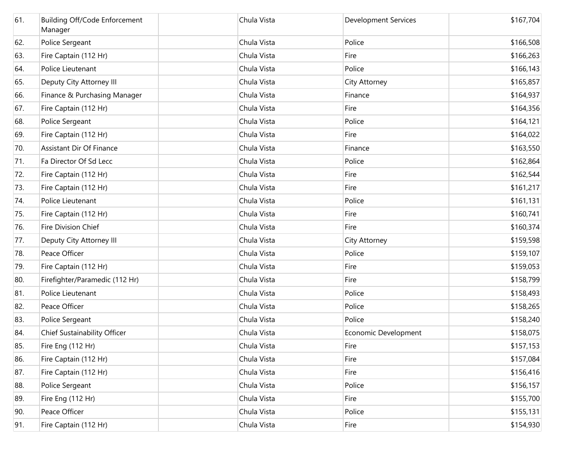| 61. | Building Off/Code Enforcement<br>Manager | Chula Vista | <b>Development Services</b> | \$167,704 |
|-----|------------------------------------------|-------------|-----------------------------|-----------|
| 62. | Police Sergeant                          | Chula Vista | Police                      | \$166,508 |
| 63. | Fire Captain (112 Hr)                    | Chula Vista | Fire                        | \$166,263 |
| 64. | Police Lieutenant                        | Chula Vista | Police                      | \$166,143 |
| 65. | Deputy City Attorney III                 | Chula Vista | City Attorney               | \$165,857 |
| 66. | Finance & Purchasing Manager             | Chula Vista | Finance                     | \$164,937 |
| 67. | Fire Captain (112 Hr)                    | Chula Vista | Fire                        | \$164,356 |
| 68. | Police Sergeant                          | Chula Vista | Police                      | \$164,121 |
| 69. | Fire Captain (112 Hr)                    | Chula Vista | Fire                        | \$164,022 |
| 70. | Assistant Dir Of Finance                 | Chula Vista | Finance                     | \$163,550 |
| 71. | Fa Director Of Sd Lecc                   | Chula Vista | Police                      | \$162,864 |
| 72. | Fire Captain (112 Hr)                    | Chula Vista | Fire                        | \$162,544 |
| 73. | Fire Captain (112 Hr)                    | Chula Vista | Fire                        | \$161,217 |
| 74. | Police Lieutenant                        | Chula Vista | Police                      | \$161,131 |
| 75. | Fire Captain (112 Hr)                    | Chula Vista | Fire                        | \$160,741 |
| 76. | Fire Division Chief                      | Chula Vista | Fire                        | \$160,374 |
| 77. | Deputy City Attorney III                 | Chula Vista | City Attorney               | \$159,598 |
| 78. | Peace Officer                            | Chula Vista | Police                      | \$159,107 |
| 79. | Fire Captain (112 Hr)                    | Chula Vista | Fire                        | \$159,053 |
| 80. | Firefighter/Paramedic (112 Hr)           | Chula Vista | Fire                        | \$158,799 |
| 81. | Police Lieutenant                        | Chula Vista | Police                      | \$158,493 |
| 82. | Peace Officer                            | Chula Vista | Police                      | \$158,265 |
| 83. | Police Sergeant                          | Chula Vista | Police                      | \$158,240 |
| 84. | Chief Sustainability Officer             | Chula Vista | Economic Development        | \$158,075 |
| 85. | Fire Eng (112 Hr)                        | Chula Vista | Fire                        | \$157,153 |
| 86. | Fire Captain (112 Hr)                    | Chula Vista | Fire                        | \$157,084 |
| 87. | Fire Captain (112 Hr)                    | Chula Vista | Fire                        | \$156,416 |
| 88. | Police Sergeant                          | Chula Vista | Police                      | \$156,157 |
| 89. | Fire Eng (112 Hr)                        | Chula Vista | Fire                        | \$155,700 |
| 90. | Peace Officer                            | Chula Vista | Police                      | \$155,131 |
| 91. | Fire Captain (112 Hr)                    | Chula Vista | Fire                        | \$154,930 |